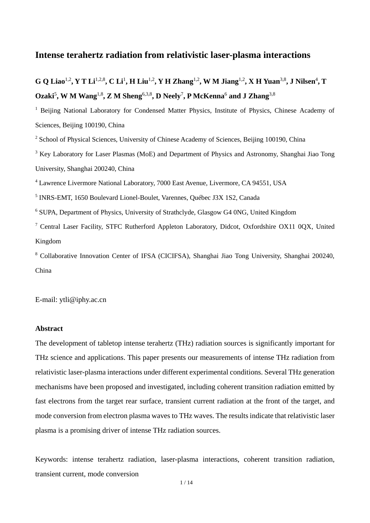## **Intense terahertz radiation from relativistic laser-plasma interactions**

# **G Q** Liao<sup>1,2</sup>, Y T Li<sup>1,2,8</sup>, C Li<sup>1</sup>, H Liu<sup>1,2</sup>, Y H Zhang<sup>1,2</sup>, W M Jiang<sup>1,2</sup>, X H Yuan<sup>3,8</sup>, J Nilsen<sup>4</sup>, T **Ozaki**<sup>5</sup> **, W M Wang**1,8 **, Z M Sheng**6,3,8 **, D Neely**<sup>7</sup> **, P McKenna**<sup>6</sup> **and J Zhang**3,8

<sup>1</sup> Beijing National Laboratory for Condensed Matter Physics, Institute of Physics, Chinese Academy of Sciences, Beijing 100190, China

<sup>2</sup> School of Physical Sciences, University of Chinese Academy of Sciences, Beijing 100190, China

<sup>3</sup> Key Laboratory for Laser Plasmas (MoE) and Department of Physics and Astronomy, Shanghai Jiao Tong University, Shanghai 200240, China

<sup>4</sup> Lawrence Livermore National Laboratory, 7000 East Avenue, Livermore, CA 94551, USA

5 INRS-EMT, 1650 Boulevard Lionel-Boulet, Varennes, Québec J3X 1S2, Canada

<sup>6</sup> SUPA, Department of Physics, University of Strathclyde, Glasgow G4 0NG, United Kingdom

<sup>7</sup> Central Laser Facility, STFC Rutherford Appleton Laboratory, Didcot, Oxfordshire OX11 0QX, United Kingdom

<sup>8</sup> Collaborative Innovation Center of IFSA (CICIFSA), Shanghai Jiao Tong University, Shanghai 200240, China

E-mail: ytli@iphy.ac.cn

#### **Abstract**

The development of tabletop intense terahertz (THz) radiation sources is significantly important for THz science and applications. This paper presents our measurements of intense THz radiation from relativistic laser-plasma interactions under different experimental conditions. Several THz generation mechanisms have been proposed and investigated, including coherent transition radiation emitted by fast electrons from the target rear surface, transient current radiation at the front of the target, and mode conversion from electron plasma waves to THz waves. The results indicate that relativistic laser plasma is a promising driver of intense THz radiation sources.

Keywords: intense terahertz radiation, laser-plasma interactions, coherent transition radiation, transient current, mode conversion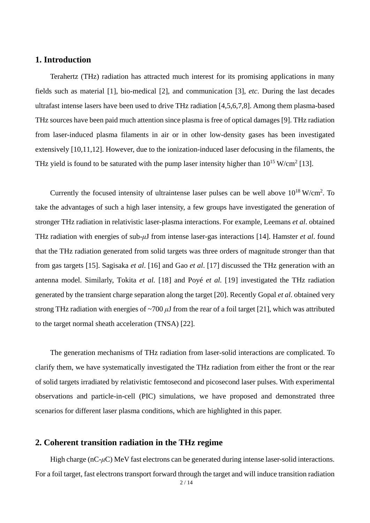## **1. Introduction**

Terahertz (THz) radiation has attracted much interest for its promising applications in many fields such as material [1], bio-medical [2], and communication [3], *etc*. During the last decades ultrafast intense lasers have been used to drive THz radiation [4,5,6,7,8]. Among them plasma-based THz sources have been paid much attention since plasma is free of optical damages [9]. THz radiation from laser-induced plasma filaments in air or in other low-density gases has been investigated extensively [10,11,12]. However, due to the ionization-induced laser defocusing in the filaments, the THz yield is found to be saturated with the pump laser intensity higher than  $10^{15}$  W/cm<sup>2</sup> [13].

Currently the focused intensity of ultraintense laser pulses can be well above  $10^{18}$  W/cm<sup>2</sup>. To take the advantages of such a high laser intensity, a few groups have investigated the generation of stronger THz radiation in relativistic laser-plasma interactions. For example, Leemans *et al*. obtained THz radiation with energies of sub-*μ*J from intense laser-gas interactions [14]. Hamster *et al*. found that the THz radiation generated from solid targets was three orders of magnitude stronger than that from gas targets [15]. Sagisaka *et al*. [16] and Gao *et al*. [17] discussed the THz generation with an antenna model. Similarly, Tokita *et al.* [18] and Poyé *et al.* [19] investigated the THz radiation generated by the transient charge separation along the target [20]. Recently Gopal *et al*. obtained very strong THz radiation with energies of  $\sim$ 700  $\mu$ J from the rear of a foil target [21], which was attributed to the target normal sheath acceleration (TNSA) [22].

<span id="page-1-0"></span>The generation mechanisms of THz radiation from laser-solid interactions are complicated. To clarify them, we have systematically investigated the THz radiation from either the front or the rear of solid targets irradiated by relativistic femtosecond and picosecond laser pulses. With experimental observations and particle-in-cell (PIC) simulations, we have proposed and demonstrated three scenarios for different laser plasma conditions, which are highlighted in this paper.

#### **2. Coherent transition radiation in the THz regime**

High charge (nC-*μ*C) MeV fast electrons can be generated during intense laser-solid interactions. For a foil target, fast electrons transport forward through the target and will induce transition radiation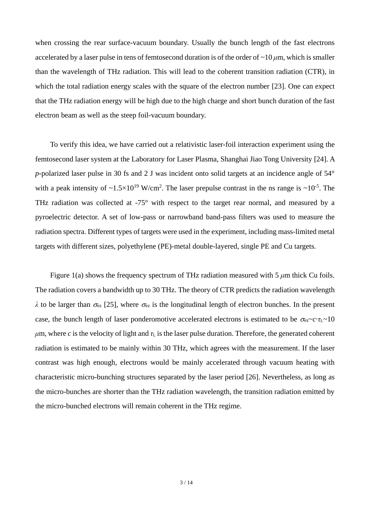when crossing the rear surface-vacuum boundary. Usually the bunch length of the fast electrons accelerated by a laser pulse in tens of femtosecond duration is of the order of  $\sim$ 10  $\mu$ m, which is smaller than the wavelength of THz radiation. This will lead to the coherent transition radiation (CTR), in which the total radiation energy scales with the square of the electron number [23]. One can expect that the THz radiation energy will be high due to the high charge and short bunch duration of the fast electron beam as well as the steep foil-vacuum boundary.

<span id="page-2-0"></span>To verify this idea, we have carried out a relativistic laser-foil interaction experiment using the femtosecond laser system at the Laboratory for Laser Plasma, Shanghai Jiao Tong University [24]. A *p*-polarized laser pulse in 30 fs and 2 J was incident onto solid targets at an incidence angle of 54° with a peak intensity of  $\sim 1.5 \times 10^{19}$  W/cm<sup>2</sup>. The laser prepulse contrast in the ns range is  $\sim 10^{-5}$ . The THz radiation was collected at -75° with respect to the target rear normal, and measured by a pyroelectric detector. A set of low-pass or narrowband band-pass filters was used to measure the radiation spectra. Different types of targets were used in the experiment, including mass-limited metal targets with different sizes, polyethylene (PE)-metal double-layered, single PE and Cu targets.

<span id="page-2-1"></span>Figure 1(a) shows the frequency spectrum of THz radiation measured with 5 *μ*m thick Cu foils. The radiation covers a bandwidth up to 30 THz. The theory of CTR predicts the radiation wavelength  $λ$  to be larger than  $\sigma_{ez}$  [25], where  $\sigma_{ez}$  is the longitudinal length of electron bunches. In the present case, the bunch length of laser ponderomotive accelerated electrons is estimated to be  $\sigma_{ez} \sim c \cdot \tau_L \sim 10$  $\mu$ m, where *c* is the velocity of light and  $\tau$ <sub>L</sub> is the laser pulse duration. Therefore, the generated coherent radiation is estimated to be mainly within 30 THz, which agrees with the measurement. If the laser contrast was high enough, electrons would be mainly accelerated through vacuum heating with characteristic micro-bunching structures separated by the laser period [26]. Nevertheless, as long as the micro-bunches are shorter than the THz radiation wavelength, the transition radiation emitted by the micro-bunched electrons will remain coherent in the THz regime.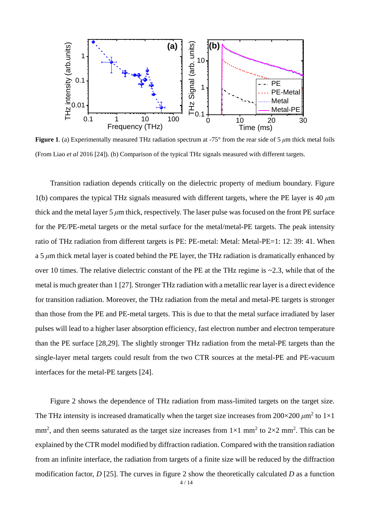

**Figure 1**. (a) Experimentally measured THz radiation spectrum at -75° from the rear side of 5 *μ*m thick metal foils (From Liao *et al* 2016 [\[24\]](#page-2-0)). (b) Comparison of the typical THz signals measured with different targets.

Transition radiation depends critically on the dielectric property of medium boundary. Figure 1(b) compares the typical THz signals measured with different targets, where the PE layer is 40 *μ*m thick and the metal layer  $5 \mu m$  thick, respectively. The laser pulse was focused on the front PE surface for the PE/PE-metal targets or the metal surface for the metal/metal-PE targets. The peak intensity ratio of THz radiation from different targets is PE: PE-metal: Metal: Metal-PE=1: 12: 39: 41. When a 5 *μ*m thick metal layer is coated behind the PE layer, the THz radiation is dramatically enhanced by over 10 times. The relative dielectric constant of the PE at the THz regime is  $\sim$ 2.3, while that of the metal is much greater than 1 [27]. Stronger THz radiation with a metallic rear layer is a direct evidence for transition radiation. Moreover, the THz radiation from the metal and metal-PE targets is stronger than those from the PE and PE-metal targets. This is due to that the metal surface irradiated by laser pulses will lead to a higher laser absorption efficiency, fast electron number and electron temperature than the PE surface [28,29]. The slightly stronger THz radiation from the metal-PE targets than the single-layer metal targets could result from the two CTR sources at the metal-PE and PE-vacuum interfaces for the metal-PE targets [\[24\]](#page-2-0).

Figure 2 shows the dependence of THz radiation from mass-limited targets on the target size. The THz intensity is increased dramatically when the target size increases from  $200 \times 200 \ \mu m^2$  to  $1 \times 1$ mm<sup>2</sup>, and then seems saturated as the target size increases from  $1\times1$  mm<sup>2</sup> to  $2\times2$  mm<sup>2</sup>. This can be explained by the CTR model modified by diffraction radiation. Compared with the transition radiation from an infinite interface, the radiation from targets of a finite size will be reduced by the diffraction modification factor, *D* [\[25\]](#page-2-1). The curves in figure 2 show the theoretically calculated *D* as a function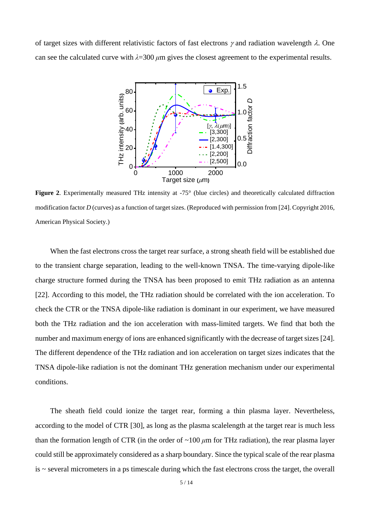of target sizes with different relativistic factors of fast electrons  $\gamma$  and radiation wavelength  $\lambda$ . One can see the calculated curve with *λ*=300 *μ*m gives the closest agreement to the experimental results.



**Figure 2.** Experimentally measured THz intensity at -75° (blue circles) and theoretically calculated diffraction modification factor *D* (curves) as a function of target sizes. (Reproduced with permission from [\[24\]](#page-2-0). Copyright 2016, American Physical Society.)

When the fast electrons cross the target rear surface, a strong sheath field will be established due to the transient charge separation, leading to the well-known TNSA. The time-varying dipole-like charge structure formed during the TNSA has been proposed to emit THz radiation as an antenna [\[22\]](#page-1-0). According to this model, the THz radiation should be correlated with the ion acceleration. To check the CTR or the TNSA dipole-like radiation is dominant in our experiment, we have measured both the THz radiation and the ion acceleration with mass-limited targets. We find that both the number and maximum energy of ions are enhanced significantly with the decrease of target sizes [\[24\]](#page-2-0). The different dependence of the THz radiation and ion acceleration on target sizes indicates that the TNSA dipole-like radiation is not the dominant THz generation mechanism under our experimental conditions.

The sheath field could ionize the target rear, forming a thin plasma layer. Nevertheless, according to the model of CTR [30], as long as the plasma scalelength at the target rear is much less than the formation length of CTR (in the order of  $\sim 100 \mu m$  for THz radiation), the rear plasma layer could still be approximately considered as a sharp boundary. Since the typical scale of the rear plasma  $is$   $\sim$  several micrometers in a ps timescale during which the fast electrons cross the target, the overall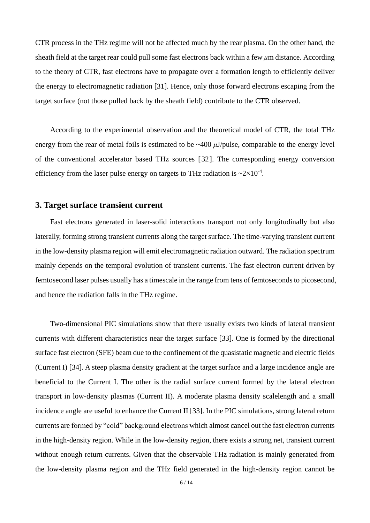CTR process in the THz regime will not be affected much by the rear plasma. On the other hand, the sheath field at the target rear could pull some fast electrons back within a few *μ*m distance. According to the theory of CTR, fast electrons have to propagate over a formation length to efficiently deliver the energy to electromagnetic radiation [31]. Hence, only those forward electrons escaping from the target surface (not those pulled back by the sheath field) contribute to the CTR observed.

According to the experimental observation and the theoretical model of CTR, the total THz energy from the rear of metal foils is estimated to be ~400 *μ*J/pulse, comparable to the energy level of the conventional accelerator based THz sources [32]. The corresponding energy conversion efficiency from the laser pulse energy on targets to THz radiation is  $\sim 2 \times 10^{-4}$ .

#### **3. Target surface transient current**

Fast electrons generated in laser-solid interactions transport not only longitudinally but also laterally, forming strong transient currents along the target surface. The time-varying transient current in the low-density plasma region will emit electromagnetic radiation outward. The radiation spectrum mainly depends on the temporal evolution of transient currents. The fast electron current driven by femtosecond laser pulses usually has a timescale in the range from tens of femtoseconds to picosecond, and hence the radiation falls in the THz regime.

<span id="page-5-1"></span><span id="page-5-0"></span>Two-dimensional PIC simulations show that there usually exists two kinds of lateral transient currents with different characteristics near the target surface [33]. One is formed by the directional surface fast electron (SFE) beam due to the confinement of the quasistatic magnetic and electric fields (Current I) [34]. A steep plasma density gradient at the target surface and a large incidence angle are beneficial to the Current I. The other is the radial surface current formed by the lateral electron transport in low-density plasmas (Current II). A moderate plasma density scalelength and a small incidence angle are useful to enhance the Current II [\[33\]](#page-5-0). In the PIC simulations, strong lateral return currents are formed by "cold" background electrons which almost cancel out the fast electron currents in the high-density region. While in the low-density region, there exists a strong net, transient current without enough return currents. Given that the observable THz radiation is mainly generated from the low-density plasma region and the THz field generated in the high-density region cannot be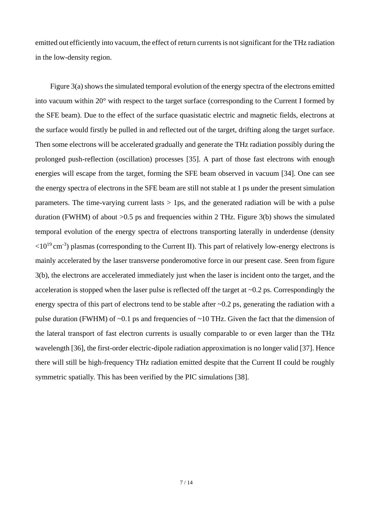emitted out efficiently into vacuum, the effect of return currents is not significant for the THz radiation in the low-density region.

<span id="page-6-0"></span>Figure 3(a) shows the simulated temporal evolution of the energy spectra of the electrons emitted into vacuum within 20° with respect to the target surface (corresponding to the Current I formed by the SFE beam). Due to the effect of the surface quasistatic electric and magnetic fields, electrons at the surface would firstly be pulled in and reflected out of the target, drifting along the target surface. Then some electrons will be accelerated gradually and generate the THz radiation possibly during the prolonged push-reflection (oscillation) processes [35]. A part of those fast electrons with enough energies will escape from the target, forming the SFE beam observed in vacuum [\[34\]](#page-5-1). One can see the energy spectra of electrons in the SFE beam are still not stable at 1 ps under the present simulation parameters. The time-varying current lasts  $> 1$  ps, and the generated radiation will be with a pulse duration (FWHM) of about  $>0.5$  ps and frequencies within 2 THz. Figure 3(b) shows the simulated temporal evolution of the energy spectra of electrons transporting laterally in underdense (density  $\langle 10^{19}$  cm<sup>-3</sup>) plasmas (corresponding to the Current II). This part of relatively low-energy electrons is mainly accelerated by the laser transverse ponderomotive force in our present case. Seen from figure 3(b), the electrons are accelerated immediately just when the laser is incident onto the target, and the acceleration is stopped when the laser pulse is reflected off the target at  $\sim 0.2$  ps. Correspondingly the energy spectra of this part of electrons tend to be stable after ~0.2 ps, generating the radiation with a pulse duration (FWHM) of ~0.1 ps and frequencies of ~10 THz. Given the fact that the dimension of the lateral transport of fast electron currents is usually comparable to or even larger than the THz wavelength [36], the first-order electric-dipole radiation approximation is no longer valid [37]. Hence there will still be high-frequency THz radiation emitted despite that the Current II could be roughly symmetric spatially. This has been verified by the PIC simulations [38].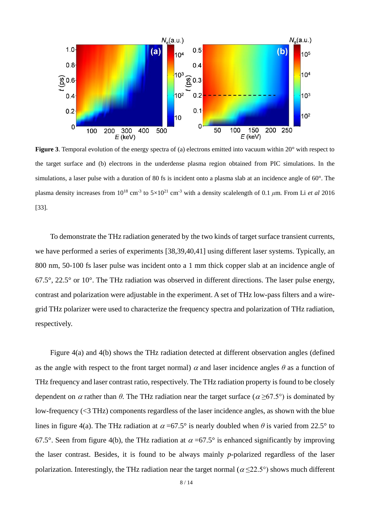

**Figure 3**. Temporal evolution of the energy spectra of (a) electrons emitted into vacuum within 20° with respect to the target surface and (b) electrons in the underdense plasma region obtained from PIC simulations. In the simulations, a laser pulse with a duration of 80 fs is incident onto a plasma slab at an incidence angle of 60°. The plasma density increases from  $10^{18}$  cm<sup>-3</sup> to  $5 \times 10^{21}$  cm<sup>-3</sup> with a density scalelength of 0.1  $\mu$ m. From Li *et al* 2016 [\[33\]](#page-5-0).

<span id="page-7-0"></span>To demonstrate the THz radiation generated by the two kinds of target surface transient currents, we have performed a series of experiments [\[38,](#page-6-0)39,40,41] using different laser systems. Typically, an 800 nm, 50-100 fs laser pulse was incident onto a 1 mm thick copper slab at an incidence angle of  $67.5^{\circ}$ ,  $22.5^{\circ}$  or  $10^{\circ}$ . The THz radiation was observed in different directions. The laser pulse energy, contrast and polarization were adjustable in the experiment. A set of THz low-pass filters and a wiregrid THz polarizer were used to characterize the frequency spectra and polarization of THz radiation, respectively.

Figure 4(a) and 4(b) shows the THz radiation detected at different observation angles (defined as the angle with respect to the front target normal)  $\alpha$  and laser incidence angles  $\theta$  as a function of THz frequency and laser contrast ratio, respectively. The THz radiation property is found to be closely dependent on  $\alpha$  rather than  $\theta$ . The THz radiation near the target surface ( $\alpha \ge 67.5^{\circ}$ ) is dominated by low-frequency (<3 THz) components regardless of the laser incidence angles, as shown with the blue lines in figure 4(a). The THz radiation at  $\alpha$  =67.5° is nearly doubled when  $\theta$  is varied from 22.5° to 67.5°. Seen from figure 4(b), the THz radiation at  $\alpha$  =67.5° is enhanced significantly by improving the laser contrast. Besides, it is found to be always mainly *p*-polarized regardless of the laser polarization. Interestingly, the THz radiation near the target normal ( $\alpha$  <22.5°) shows much different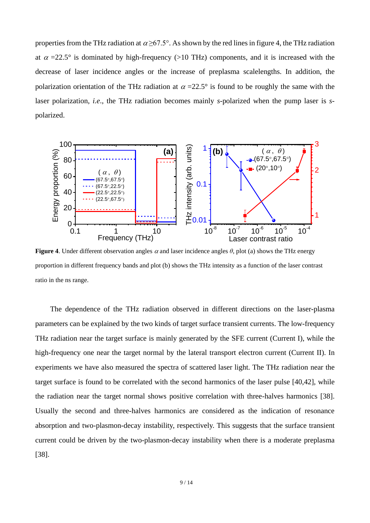properties from the THz radiation at  $\alpha \geq 67.5^{\circ}$ . As shown by the red lines in figure 4, the THz radiation at  $\alpha$  =22.5° is dominated by high-frequency (>10 THz) components, and it is increased with the decrease of laser incidence angles or the increase of preplasma scalelengths. In addition, the polarization orientation of the THz radiation at  $\alpha = 22.5^{\circ}$  is found to be roughly the same with the laser polarization, *i.e*., the THz radiation becomes mainly *s*-polarized when the pump laser is *s*polarized.



**Figure 4.** Under different observation angles  $\alpha$  and laser incidence angles  $\theta$ , plot (a) shows the THz energy proportion in different frequency bands and plot (b) shows the THz intensity as a function of the laser contrast ratio in the ns range.

The dependence of the THz radiation observed in different directions on the laser-plasma parameters can be explained by the two kinds of target surface transient currents. The low-frequency THz radiation near the target surface is mainly generated by the SFE current (Current I), while the high-frequency one near the target normal by the lateral transport electron current (Current II). In experiments we have also measured the spectra of scattered laser light. The THz radiation near the target surface is found to be correlated with the second harmonics of the laser pulse [\[40,](#page-7-0)42], while the radiation near the target normal shows positive correlation with three-halves harmonics [\[38\]](#page-6-0). Usually the second and three-halves harmonics are considered as the indication of resonance absorption and two-plasmon-decay instability, respectively. This suggests that the surface transient current could be driven by the two-plasmon-decay instability when there is a moderate preplasma [\[38\]](#page-6-0).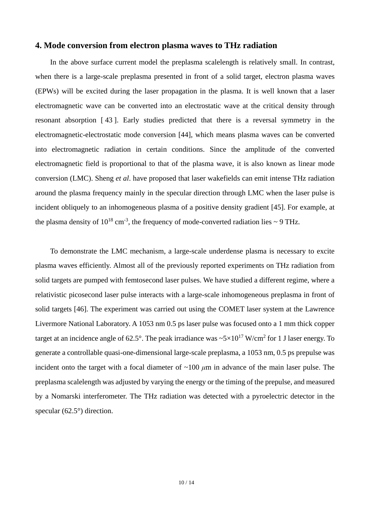#### **4. Mode conversion from electron plasma waves to THz radiation**

<span id="page-9-1"></span>In the above surface current model the preplasma scalelength is relatively small. In contrast, when there is a large-scale preplasma presented in front of a solid target, electron plasma waves (EPWs) will be excited during the laser propagation in the plasma. It is well known that a laser electromagnetic wave can be converted into an electrostatic wave at the critical density through resonant absorption [ 43 ]. Early studies predicted that there is a reversal symmetry in the electromagnetic-electrostatic mode conversion [44], which means plasma waves can be converted into electromagnetic radiation in certain conditions. Since the amplitude of the converted electromagnetic field is proportional to that of the plasma wave, it is also known as linear mode conversion (LMC). Sheng *et al*. have proposed that laser wakefields can emit intense THz radiation around the plasma frequency mainly in the specular direction through LMC when the laser pulse is incident obliquely to an inhomogeneous plasma of a positive density gradient [45]. For example, at the plasma density of  $10^{18}$  cm<sup>-3</sup>, the frequency of mode-converted radiation lies  $\sim$  9 THz.

<span id="page-9-2"></span><span id="page-9-0"></span>To demonstrate the LMC mechanism, a large-scale underdense plasma is necessary to excite plasma waves efficiently. Almost all of the previously reported experiments on THz radiation from solid targets are pumped with femtosecond laser pulses. We have studied a different regime, where a relativistic picosecond laser pulse interacts with a large-scale inhomogeneous preplasma in front of solid targets [46]. The experiment was carried out using the COMET laser system at the Lawrence Livermore National Laboratory. A 1053 nm 0.5 ps laser pulse was focused onto a 1 mm thick copper target at an incidence angle of 62.5°. The peak irradiance was  $\sim 5 \times 10^{17}$  W/cm<sup>2</sup> for 1 J laser energy. To generate a controllable quasi-one-dimensional large-scale preplasma, a 1053 nm, 0.5 ps prepulse was incident onto the target with a focal diameter of ~100 *μ*m in advance of the main laser pulse. The preplasma scalelength was adjusted by varying the energy or the timing of the prepulse, and measured by a Nomarski interferometer. The THz radiation was detected with a pyroelectric detector in the specular (62.5°) direction.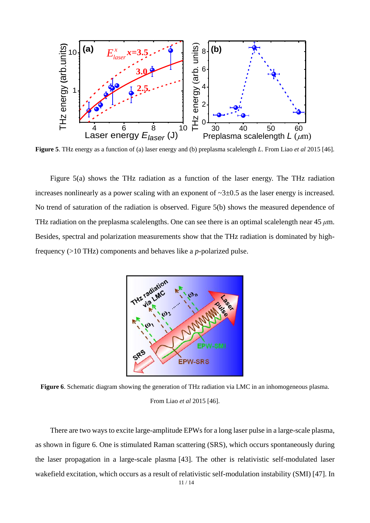

**Figure 5**. THz energy as a function of (a) laser energy and (b) preplasma scalelength *L*. From Liao *et al* 2015 [\[46\]](#page-9-0).

Figure 5(a) shows the THz radiation as a function of the laser energy. The THz radiation increases nonlinearly as a power scaling with an exponent of  $\sim$ 3 $\pm$ 0.5 as the laser energy is increased. No trend of saturation of the radiation is observed. Figure 5(b) shows the measured dependence of THz radiation on the preplasma scalelengths. One can see there is an optimal scalelength near 45 *μ*m. Besides, spectral and polarization measurements show that the THz radiation is dominated by highfrequency (>10 THz) components and behaves like a *p*-polarized pulse.



**Figure 6**. Schematic diagram showing the generation of THz radiation via LMC in an inhomogeneous plasma. From Liao *et al* 2015 [\[46\]](#page-9-0).

There are two ways to excite large-amplitude EPWs for a long laser pulse in a large-scale plasma, as shown in figure 6. One is stimulated Raman scattering (SRS), which occurs spontaneously during the laser propagation in a large-scale plasma [\[43\]](#page-9-1). The other is relativistic self-modulated laser wakefield excitation, which occurs as a result of relativistic self-modulation instability (SMI) [47]. In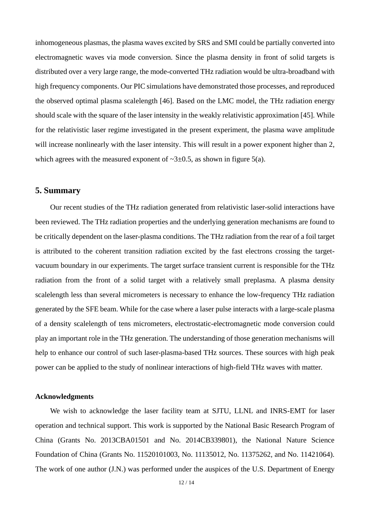inhomogeneous plasmas, the plasma waves excited by SRS and SMI could be partially converted into electromagnetic waves via mode conversion. Since the plasma density in front of solid targets is distributed over a very large range, the mode-converted THz radiation would be ultra-broadband with high frequency components. Our PIC simulations have demonstrated those processes, and reproduced the observed optimal plasma scalelength [\[46\]](#page-9-0). Based on the LMC model, the THz radiation energy should scale with the square of the laser intensity in the weakly relativistic approximation [\[45\]](#page-9-2). While for the relativistic laser regime investigated in the present experiment, the plasma wave amplitude will increase nonlinearly with the laser intensity. This will result in a power exponent higher than 2, which agrees with the measured exponent of  $\sim$ 3 $\pm$ 0.5, as shown in figure 5(a).

## **5. Summary**

Our recent studies of the THz radiation generated from relativistic laser-solid interactions have been reviewed. The THz radiation properties and the underlying generation mechanisms are found to be critically dependent on the laser-plasma conditions. The THz radiation from the rear of a foil target is attributed to the coherent transition radiation excited by the fast electrons crossing the targetvacuum boundary in our experiments. The target surface transient current is responsible for the THz radiation from the front of a solid target with a relatively small preplasma. A plasma density scalelength less than several micrometers is necessary to enhance the low-frequency THz radiation generated by the SFE beam. While for the case where a laser pulse interacts with a large-scale plasma of a density scalelength of tens micrometers, electrostatic-electromagnetic mode conversion could play an important role in the THz generation. The understanding of those generation mechanisms will help to enhance our control of such laser-plasma-based THz sources. These sources with high peak power can be applied to the study of nonlinear interactions of high-field THz waves with matter.

#### **Acknowledgments**

We wish to acknowledge the laser facility team at SJTU, LLNL and INRS-EMT for laser operation and technical support. This work is supported by the National Basic Research Program of China (Grants No. 2013CBA01501 and No. 2014CB339801), the National Nature Science Foundation of China (Grants No. 11520101003, No. 11135012, No. 11375262, and No. 11421064). The work of one author (J.N.) was performed under the auspices of the U.S. Department of Energy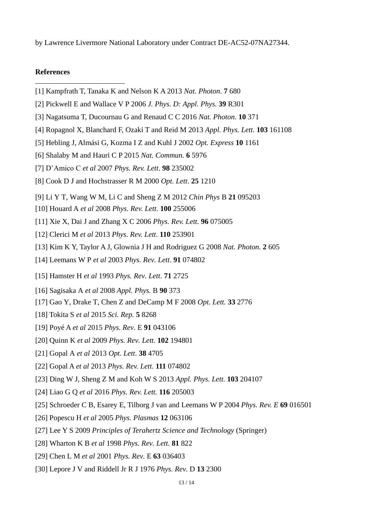by Lawrence Livermore National Laboratory under Contract DE-AC52-07NA27344.

## **References**

 $\overline{a}$ 

- [1] Kampfrath T, Tanaka K and Nelson K A 2013 *Nat. Photon*. **7** 680
- [2] Pickwell E and Wallace V P 2006 *J. Phys. D: Appl. Phys.* **39** R301
- [3] Nagatsuma T, Ducournau G and Renaud C C 2016 *Nat. Photon*. **10** 371
- [4] Ropagnol X, Blanchard F, Ozaki T and Reid M 2013 *Appl. Phys. Lett.* **103** 161108
- [5] Hebling J, Almási G, Kozma I Z and Kuhl J 2002 *Opt. Express* **10** 1161
- [6] Shalaby M and Hauri C P 2015 *Nat. Commun.* **6** 5976
- [7] D'Amico C *et al* 2007 *Phys. Rev. Lett*. **98** 235002
- [8] Cook D J and Hochstrasser R M 2000 *Opt. Lett*. **25** 1210
- [9] Li Y T, Wang W M, Li C and Sheng Z M 2012 *Chin Phys* B **21** 095203
- [10] Houard A *et al* 2008 *Phys. Rev. Lett*. **100** 255006
- [11] Xie X, Dai J and Zhang X C 2006 *Phys. Rev. Lett.* **96** 075005
- [12] Clerici M *et al* 2013 *Phys. Rev. Lett*. **110** 253901
- [13] Kim K Y, Taylor A J, Glownia J H and Rodriguez G 2008 *Nat. Photon.* **2** 605
- [14] Leemans W P *et al* 2003 *Phys. Rev. Lett*. **91** 074802
- [15] Hamster H *et al* 1993 *Phys. Rev. Lett*. **71** 2725
- [16] Sagisaka A *et al* 2008 *Appl. Phys.* B **90** 373
- [17] Gao Y, Drake T, Chen Z and DeCamp M F 2008 *Opt. Lett.* **33** 2776
- [18] Tokita S *et al* 2015 *Sci. Rep.* **5** 8268
- [19] Poyé A *et al* 2015 *Phys. Rev.* E **91** 043106
- [20] Quinn K *et al* 2009 *Phys. Rev. Lett.* **102** 194801
- [21] Gopal A *et al* 2013 *Opt. Lett*. **38** 4705
- [22] Gopal A *et al* 2013 *Phys. Rev. Lett*. **111** 074802
- [23] Ding W J, Sheng Z M and Koh W S 2013 *Appl. Phys. Lett.* **103** 204107
- [24] Liao G Q *et al* 2016 *Phys. Rev. Lett.* **116** 205003
- [25] Schroeder C B, Esarey E, Tilborg J van and Leemans W P 2004 *Phys. Rev. E* **69** 016501
- [26] Popescu H *et al* 2005 *Phys. Plasmas* **12** 063106
- [27] Lee Y S 2009 *Principles of Terahertz Science and Technology* (Springer)
- [28] Wharton K B *et al* 1998 *Phys. Rev. Lett.* **81** 822
- [29] Chen L M *et al* 2001 *Phys. Rev.* E **63** 036403
- [30] Lepore J V and Riddell Jr R J 1976 *Phys. Rev.* D **13** 2300